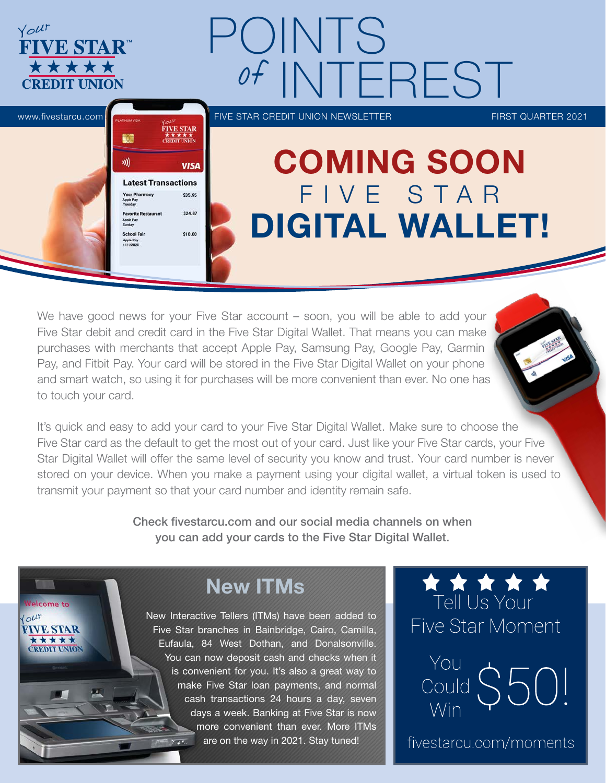

We have good news for your Five Star account – soon, you will be able to add your Five Star debit and credit card in the Five Star Digital Wallet. That means you can make purchases with merchants that accept Apple Pay, Samsung Pay, Google Pay, Garmin Pay, and Fitbit Pay. Your card will be stored in the Five Star Digital Wallet on your phone and smart watch, so using it for purchases will be more convenient than ever. No one has to touch your card.



It's quick and easy to add your card to your Five Star Digital Wallet. Make sure to choose the Five Star card as the default to get the most out of your card. Just like your Five Star cards, your Five Star Digital Wallet will offer the same level of security you know and trust. Your card number is never stored on your device. When you make a payment using your digital wallet, a virtual token is used to transmit your payment so that your card number and identity remain safe.

> Check fivestarcu.com and our social media channels on when you can add your cards to the Five Star Digital Wallet.

> > New ITMs

elcome to

**FIVE STAR** \*\*\*\*\* **CREDIT UNION** 

 $'$ out

New Interactive Tellers (ITMs) have been added to Five Star branches in Bainbridge, Cairo, Camilla, Eufaula, 84 West Dothan, and Donalsonville. You can now deposit cash and checks when it is convenient for you. It's also a great way to make Five Star loan payments, and normal cash transactions 24 hours a day, seven days a week. Banking at Five Star is now more convenient than ever. More ITMs are on the way in 2021. Stay tuned!

**Tell Us Your** Five Star Moment

You Could  $\frac{100}{1000}$  \$50!

fivestarcu.com/moments